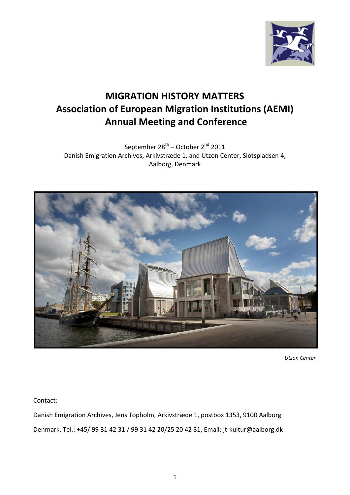

# **MIGRATION HISTORY MATTERS Association of European Migration Institutions (AEMI) Annual Meeting and Conference**

September 28<sup>th</sup> – October 2<sup>nd</sup> 2011 Danish Emigration Archives, Arkivstræde 1, and Utzon Center, Slotspladsen 4, Aalborg, Denmark



 *Utzon Center*

Contact:

Danish Emigration Archives, Jens Topholm, Arkivstræde 1, postbox 1353, 9100 Aalborg Denmark, Tel.: +45/ 99 31 42 31 / 99 31 42 20/25 20 42 31, Email: jt-kultur@aalborg.dk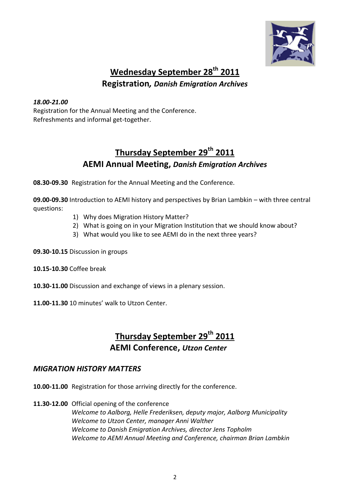

## **Wednesday September 28th 2011 Registration***, Danish Emigration Archives*

#### *18.00-21.00*

Registration for the Annual Meeting and the Conference. Refreshments and informal get-together.

### **Thursday September 29th 2011 AEMI Annual Meeting,** *Danish Emigration Archives*

**08.30-09.30** Registration for the Annual Meeting and the Conference.

**09.00-09.30** Introduction to AEMI history and perspectives by Brian Lambkin – with three central questions:

- 1) Why does Migration History Matter?
- 2) What is going on in your Migration Institution that we should know about?
- 3) What would you like to see AEMI do in the next three years?

**09.30-10.15** Discussion in groups

**10.15-10.30** Coffee break

**10.30-11.00** Discussion and exchange of views in a plenary session.

**11.00-11.30** 10 minutes' walk to Utzon Center.

#### **Thursday September 29th 2011 AEMI Conference,** *Utzon Center*

#### *MIGRATION HISTORY MATTERS*

- **10.00-11.00** Registration for those arriving directly for the conference.
- **11.30-12.00** Official opening of the conference

*Welcome to Aalborg, Helle Frederiksen, deputy major, Aalborg Municipality Welcome to Utzon Center, manager Anni Walther Welcome to Danish Emigration Archives, director Jens Topholm Welcome to AEMI Annual Meeting and Conference, chairman Brian Lambkin*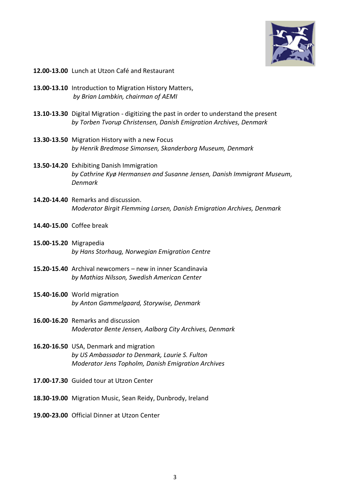

- **12.00-13.00** Lunch at Utzon Café and Restaurant
- **13.00-13.10** Introduction to Migration History Matters, *by Brian Lambkin, chairman of AEMI*
- **13.10-13.30** Digital Migration digitizing the past in order to understand the present *by Torben Tvorup Christensen, Danish Emigration Archives, Denmark*
- **13.30-13.50** Migration History with a new Focus *by Henrik Bredmose Simonsen, Skanderborg Museum, Denmark*
- **13.50-14.20** Exhibiting Danish Immigration *by Cathrine Kyø Hermansen and Susanne Jensen, Danish Immigrant Museum, Denmark*
- **14.20-14.40** Remarks and discussion. *Moderator Birgit Flemming Larsen, Danish Emigration Archives, Denmark*
- **14.40-15.00** Coffee break
- **15.00-15.20** Migrapedia *by Hans Storhaug, Norwegian Emigration Centre*
- **15.20-15.40** Archival newcomers new in inner Scandinavia *by Mathias Nilsson, Swedish American Center*
- **15.40-16.00** World migration *by Anton Gammelgaard, Storywise, Denmark*
- **16.00-16.20** Remarks and discussion *Moderator Bente Jensen, Aalborg City Archives, Denmark*
- **16.20-16.50** USA, Denmark and migration *by US Ambassador to Denmark, Laurie S. Fulton Moderator Jens Topholm, Danish Emigration Archives*
- **17.00-17.30** Guided tour at Utzon Center
- **18.30-19.00** Migration Music, Sean Reidy, Dunbrody, Ireland
- **19.00-23.00** Official Dinner at Utzon Center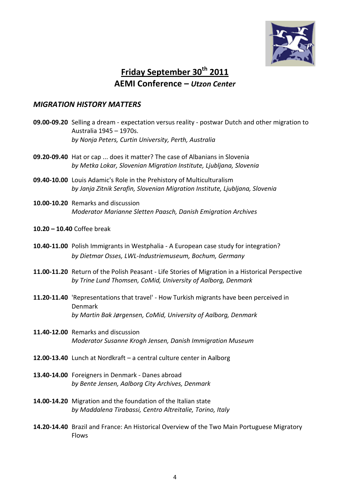

### **Friday September 30th 2011 AEMI Conference –** *Utzon Center*

#### *MIGRATION HISTORY MATTERS*

- **09.00-09.20** Selling a dream expectation versus reality postwar Dutch and other migration to Australia 1945 – 1970s. *by Nonja Peters, Curtin University, Perth, Australia*
- **09.20-09.40** Hat or cap ... does it matter? The case of Albanians in Slovenia *by Metka Lokar, Slovenian Migration Institute, Ljubljana, Slovenia*
- **09.40-10.00** Louis Adamic's Role in the Prehistory of Multiculturalism *by Janja Zitnik Serafin, Slovenian Migration Institute, Ljubljana, Slovenia*
- **10.00-10.20** Remarks and discussion *Moderator Marianne Sletten Paasch, Danish Emigration Archives*
- **10.20 – 10.40** Coffee break
- **10.40-11.00** Polish Immigrants in Westphalia A European case study for integration? *by Dietmar Osses, LWL-Industriemuseum, Bochum, Germany*
- **11.00-11.20** Return of the Polish Peasant Life Stories of Migration in a Historical Perspective *by Trine Lund Thomsen, CoMid, University of Aalborg, Denmark*
- **11.20-11.40** 'Representations that travel' How Turkish migrants have been perceived in Denmark *by Martin Bak Jørgensen, CoMid, University of Aalborg, Denmark*
- **11.40-12.00** Remarks and discussion *Moderator Susanne Krogh Jensen, Danish Immigration Museum*
- **12.00-13.40** Lunch at Nordkraft a central culture center in Aalborg
- **13.40-14.00** Foreigners in Denmark Danes abroad *by Bente Jensen, Aalborg City Archives, Denmark*
- **14.00-14.20** Migration and the foundation of the Italian state *by Maddalena Tirabassi, Centro Altreitalie, Torino, Italy*
- **14.20-14.40** Brazil and France: An Historical Overview of the Two Main Portuguese Migratory Flows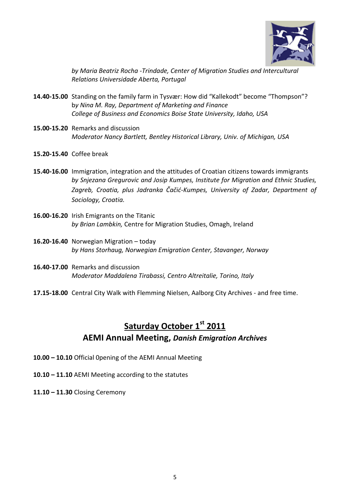

*by Maria Beatriz Rocha -Trindade, Center of Migration Studies and Intercultural Relations Universidade Aberta, Portugal*

- **14.40-15.00** Standing on the family farm in Tysvær: How did "Kallekodt" become "Thompson"? b*y Nina M. Ray, Department of Marketing and Finance College of Business and Economics Boise State University, Idaho, USA*
- **15.00-15.20** Remarks and discussion *Moderator Nancy Bartlett, Bentley Historical Library, Univ. of Michigan, USA*
- **15.20-15.40** Coffee break
- **15.40-16.00** Immigration, integration and the attitudes of Croatian citizens towards immigrants *by Snjezana Gregurovic and Josip Kumpes, Institute for Migration and Ethnic Studies, Zagreb, Croatia, plus Jadranka Čačić-Kumpes, University of Zadar, Department of Sociology, Croatia.*
- **16.00-16.20** Irish Emigrants on the Titanic *by Brian Lambkin,* Centre for Migration Studies, Omagh, Ireland
- **16.20-16.40** Norwegian Migration today *by Hans Storhaug, Norwegian Emigration Center, Stavanger, Norway*
- **16.40-17.00** Remarks and discussion *Moderator Maddalena Tirabassi, Centro Altreitalie, Torino, Italy*
- **17.15-18.00** Central City Walk with Flemming Nielsen, Aalborg City Archives and free time.

### **Saturday October 1st 2011 AEMI Annual Meeting,** *Danish Emigration Archives*

- **10.00 – 10.10** Official 0pening of the AEMI Annual Meeting
- **10.10 – 11.10** AEMI Meeting according to the statutes
- **11.10 – 11.30** Closing Ceremony